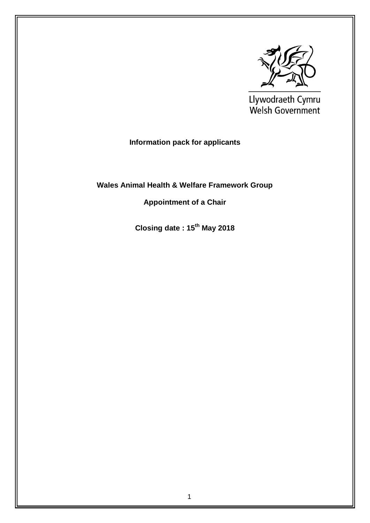

Llywodraeth Cymru<br>Welsh Government

# **Information pack for applicants**

# **Wales Animal Health & Welfare Framework Group**

# **Appointment of a Chair**

**Closing date : 15th May 2018**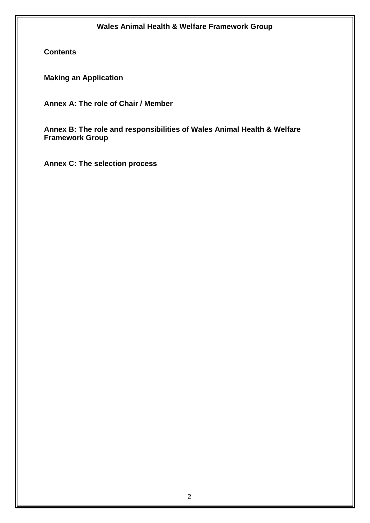**Contents**

**Making an Application**

**Annex A: The role of Chair / Member** 

**Annex B: The role and responsibilities of Wales Animal Health & Welfare Framework Group**

**Annex C: The selection process**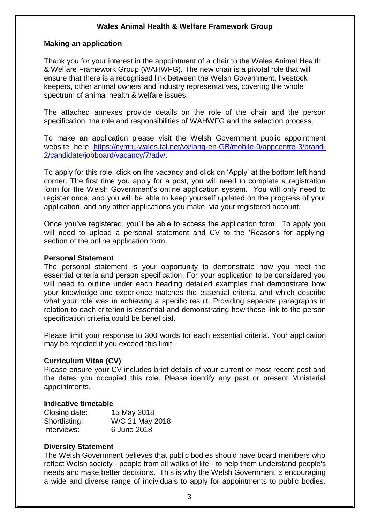#### **Making an application**

Thank you for your interest in the appointment of a chair to the Wales Animal Health & Welfare Framework Group (WAHWFG). The new chair is a pivotal role that will ensure that there is a recognised link between the Welsh Government, livestock keepers, other animal owners and industry representatives, covering the whole spectrum of animal health & welfare issues.

The attached annexes provide details on the role of the chair and the person specification, the role and responsibilities of WAHWFG and the selection process.

To make an application please visit the Welsh Government public appointment website here [https://cymru-wales.tal.net/vx/lang-en-GB/mobile-0/appcentre-3/brand-](https://cymru-wales.tal.net/vx/lang-en-GB/mobile-0/appcentre-3/brand-2/candidate/jobboard/vacancy/7/adv/)[2/candidate/jobboard/vacancy/7/adv/.](https://cymru-wales.tal.net/vx/lang-en-GB/mobile-0/appcentre-3/brand-2/candidate/jobboard/vacancy/7/adv/)

To apply for this role, click on the vacancy and click on 'Apply' at the bottom left hand corner. The first time you apply for a post, you will need to complete a registration form for the Welsh Government's online application system. You will only need to register once, and you will be able to keep yourself updated on the progress of your application, and any other applications you make, via your registered account.

Once you've registered, you'll be able to access the application form. To apply you will need to upload a personal statement and CV to the 'Reasons for applying' section of the online application form.

#### **Personal Statement**

The personal statement is your opportunity to demonstrate how you meet the essential criteria and person specification. For your application to be considered you will need to outline under each heading detailed examples that demonstrate how your knowledge and experience matches the essential criteria, and which describe what your role was in achieving a specific result. Providing separate paragraphs in relation to each criterion is essential and demonstrating how these link to the person specification criteria could be beneficial.

Please limit your response to 300 words for each essential criteria. Your application may be rejected if you exceed this limit.

#### **Curriculum Vitae (CV)**

Please ensure your CV includes brief details of your current or most recent post and the dates you occupied this role. Please identify any past or present Ministerial appointments.

#### **Indicative timetable**

| Closing date: | 15 May 2018     |
|---------------|-----------------|
| Shortlisting: | W/C 21 May 2018 |
| Interviews:   | 6 June 2018     |

#### **Diversity Statement**

The Welsh Government believes that public bodies should have board members who reflect Welsh society - people from all walks of life - to help them understand people's needs and make better decisions. This is why the Welsh Government is encouraging a wide and diverse range of individuals to apply for appointments to public bodies.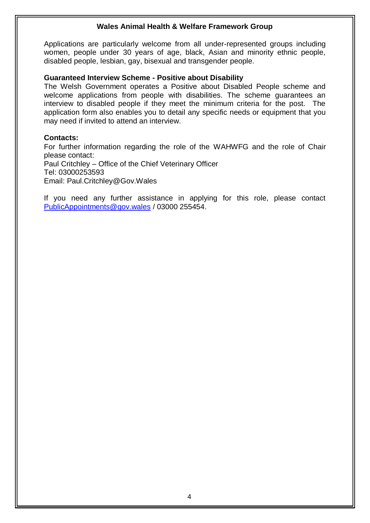Applications are particularly welcome from all under-represented groups including women, people under 30 years of age, black, Asian and minority ethnic people, disabled people, lesbian, gay, bisexual and transgender people.

#### **Guaranteed Interview Scheme - Positive about Disability**

The Welsh Government operates a Positive about Disabled People scheme and welcome applications from people with disabilities. The scheme guarantees an interview to disabled people if they meet the minimum criteria for the post. The application form also enables you to detail any specific needs or equipment that you may need if invited to attend an interview.

#### **Contacts:**

For further information regarding the role of the WAHWFG and the role of Chair please contact: Paul Critchley – Office of the Chief Veterinary Officer Tel: 03000253593 Email: Paul.Critchley@Gov.Wales

If you need any further assistance in applying for this role, please contact [PublicAppointments@gov.wales](mailto:PublicAppointments@gov.wales) / 03000 255454.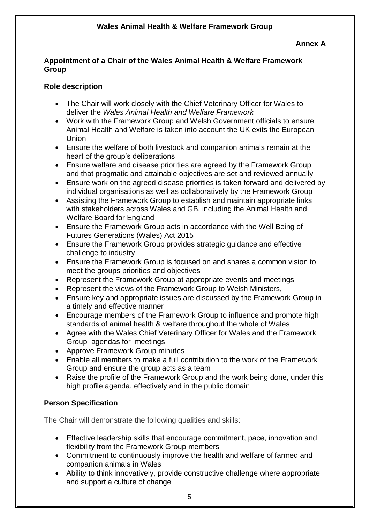**Annex A**

#### **Appointment of a Chair of the Wales Animal Health & Welfare Framework Group**

### **Role description**

- The Chair will work closely with the Chief Veterinary Officer for Wales to deliver the *Wales Animal Health and Welfare Framework*
- Work with the Framework Group and Welsh Government officials to ensure Animal Health and Welfare is taken into account the UK exits the European Union
- Ensure the welfare of both livestock and companion animals remain at the heart of the group's deliberations
- Ensure welfare and disease priorities are agreed by the Framework Group and that pragmatic and attainable objectives are set and reviewed annually
- Ensure work on the agreed disease priorities is taken forward and delivered by individual organisations as well as collaboratively by the Framework Group
- Assisting the Framework Group to establish and maintain appropriate links with stakeholders across Wales and GB, including the Animal Health and Welfare Board for England
- Ensure the Framework Group acts in accordance with the Well Being of Futures Generations (Wales) Act 2015
- Ensure the Framework Group provides strategic guidance and effective challenge to industry
- Ensure the Framework Group is focused on and shares a common vision to meet the groups priorities and objectives
- Represent the Framework Group at appropriate events and meetings
- Represent the views of the Framework Group to Welsh Ministers,
- Ensure key and appropriate issues are discussed by the Framework Group in a timely and effective manner
- Encourage members of the Framework Group to influence and promote high standards of animal health & welfare throughout the whole of Wales
- Agree with the Wales Chief Veterinary Officer for Wales and the Framework Group agendas for meetings
- Approve Framework Group minutes
- Enable all members to make a full contribution to the work of the Framework Group and ensure the group acts as a team
- Raise the profile of the Framework Group and the work being done, under this high profile agenda, effectively and in the public domain

# **Person Specification**

The Chair will demonstrate the following qualities and skills:

- Effective leadership skills that encourage commitment, pace, innovation and flexibility from the Framework Group members
- Commitment to continuously improve the health and welfare of farmed and companion animals in Wales
- Ability to think innovatively, provide constructive challenge where appropriate and support a culture of change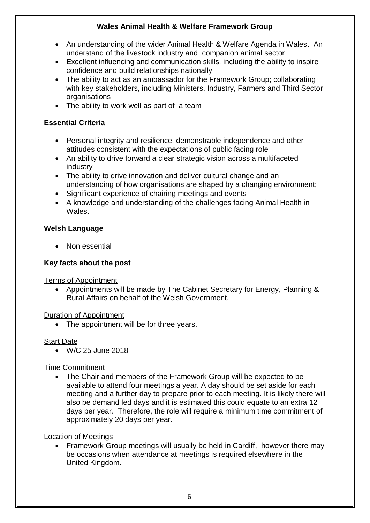- An understanding of the wider Animal Health & Welfare Agenda in Wales. An understand of the livestock industry and companion animal sector
- Excellent influencing and communication skills, including the ability to inspire confidence and build relationships nationally
- The ability to act as an ambassador for the Framework Group; collaborating with key stakeholders, including Ministers, Industry, Farmers and Third Sector **organisations**
- The ability to work well as part of a team

### **Essential Criteria**

- Personal integrity and resilience, demonstrable independence and other attitudes consistent with the expectations of public facing role
- An ability to drive forward a clear strategic vision across a multifaceted industry
- The ability to drive innovation and deliver cultural change and an understanding of how organisations are shaped by a changing environment;
- Significant experience of chairing meetings and events
- A knowledge and understanding of the challenges facing Animal Health in Wales.

### **Welsh Language**

• Non essential

# **Key facts about the post**

Terms of Appointment

 Appointments will be made by The Cabinet Secretary for Energy, Planning & Rural Affairs on behalf of the Welsh Government.

### Duration of Appointment

• The appointment will be for three years.

# Start Date

W/C 25 June 2018

# Time Commitment

• The Chair and members of the Framework Group will be expected to be available to attend four meetings a year. A day should be set aside for each meeting and a further day to prepare prior to each meeting. It is likely there will also be demand led days and it is estimated this could equate to an extra 12 days per year. Therefore, the role will require a minimum time commitment of approximately 20 days per year.

### Location of Meetings

 Framework Group meetings will usually be held in Cardiff, however there may be occasions when attendance at meetings is required elsewhere in the United Kingdom.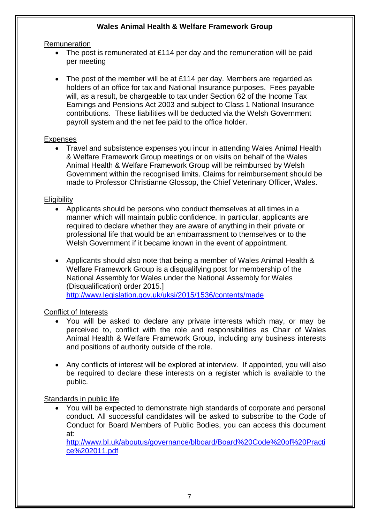#### **Remuneration**

- The post is remunerated at £114 per day and the remuneration will be paid per meeting
- The post of the member will be at £114 per day. Members are regarded as holders of an office for tax and National Insurance purposes. Fees payable will, as a result, be chargeable to tax under Section 62 of the Income Tax Earnings and Pensions Act 2003 and subject to Class 1 National Insurance contributions. These liabilities will be deducted via the Welsh Government payroll system and the net fee paid to the office holder.

### Expenses

 Travel and subsistence expenses you incur in attending Wales Animal Health & Welfare Framework Group meetings or on visits on behalf of the Wales Animal Health & Welfare Framework Group will be reimbursed by Welsh Government within the recognised limits. Claims for reimbursement should be made to Professor Christianne Glossop, the Chief Veterinary Officer, Wales.

#### **Eligibility**

- Applicants should be persons who conduct themselves at all times in a manner which will maintain public confidence. In particular, applicants are required to declare whether they are aware of anything in their private or professional life that would be an embarrassment to themselves or to the Welsh Government if it became known in the event of appointment.
- Applicants should also note that being a member of Wales Animal Health & Welfare Framework Group is a disqualifying post for membership of the National Assembly for Wales under the National Assembly for Wales (Disqualification) order 2015.] <http://www.legislation.gov.uk/uksi/2015/1536/contents/made>

### Conflict of Interests

- You will be asked to declare any private interests which may, or may be perceived to, conflict with the role and responsibilities as Chair of Wales Animal Health & Welfare Framework Group, including any business interests and positions of authority outside of the role.
- Any conflicts of interest will be explored at interview. If appointed, you will also be required to declare these interests on a register which is available to the public.

### Standards in public life

 You will be expected to demonstrate high standards of corporate and personal conduct. All successful candidates will be asked to subscribe to the Code of Conduct for Board Members of Public Bodies, you can access this document at:

[http://www.bl.uk/aboutus/governance/blboard/Board%20Code%20of%20Practi](http://www.bl.uk/aboutus/governance/blboard/Board%20Code%20of%20Practice%202011.pdf) [ce%202011.pdf](http://www.bl.uk/aboutus/governance/blboard/Board%20Code%20of%20Practice%202011.pdf)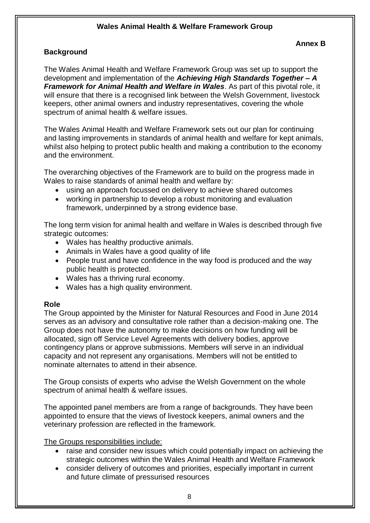#### **Annex B**

### **Background**

The Wales Animal Health and Welfare Framework Group was set up to support the development and implementation of the *Achieving High Standards Together – A Framework for Animal Health and Welfare in Wales*. As part of this pivotal role, it will ensure that there is a recognised link between the Welsh Government, livestock keepers, other animal owners and industry representatives, covering the whole spectrum of animal health & welfare issues.

The Wales Animal Health and Welfare Framework sets out our plan for continuing and lasting improvements in standards of animal health and welfare for kept animals, whilst also helping to protect public health and making a contribution to the economy and the environment.

The overarching objectives of the Framework are to build on the progress made in Wales to raise standards of animal health and welfare by:

- using an approach focussed on delivery to achieve shared outcomes
- working in partnership to develop a robust monitoring and evaluation framework, underpinned by a strong evidence base.

The long term vision for animal health and welfare in Wales is described through five strategic outcomes:

- Wales has healthy productive animals.
- Animals in Wales have a good quality of life
- People trust and have confidence in the way food is produced and the way public health is protected.
- Wales has a thriving rural economy.
- Wales has a high quality environment.

### **Role**

The Group appointed by the Minister for Natural Resources and Food in June 2014 serves as an advisory and consultative role rather than a decision-making one. The Group does not have the autonomy to make decisions on how funding will be allocated, sign off Service Level Agreements with delivery bodies, approve contingency plans or approve submissions. Members will serve in an individual capacity and not represent any organisations. Members will not be entitled to nominate alternates to attend in their absence.

The Group consists of experts who advise the Welsh Government on the whole spectrum of animal health & welfare issues.

The appointed panel members are from a range of backgrounds. They have been appointed to ensure that the views of livestock keepers, animal owners and the veterinary profession are reflected in the framework.

The Groups responsibilities include:

- raise and consider new issues which could potentially impact on achieving the strategic outcomes within the Wales Animal Health and Welfare Framework
- consider delivery of outcomes and priorities, especially important in current and future climate of pressurised resources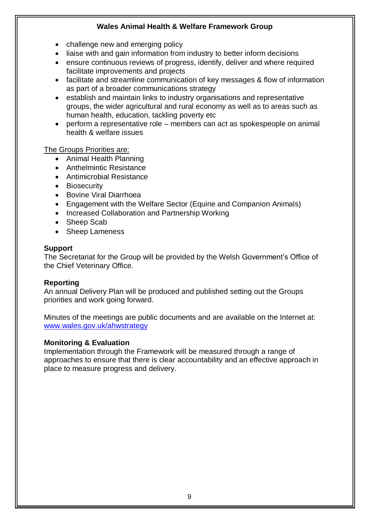- challenge new and emerging policy
- liaise with and gain information from industry to better inform decisions
- ensure continuous reviews of progress, identify, deliver and where required facilitate improvements and projects
- facilitate and streamline communication of key messages & flow of information as part of a broader communications strategy
- establish and maintain links to industry organisations and representative groups, the wider agricultural and rural economy as well as to areas such as human health, education, tackling poverty etc
- perform a representative role members can act as spokespeople on animal health & welfare issues

The Groups Priorities are:

- Animal Health Planning
- Anthelmintic Resistance
- Antimicrobial Resistance
- Biosecurity
- Bovine Viral Diarrhoea
- Engagement with the Welfare Sector (Equine and Companion Animals)
- Increased Collaboration and Partnership Working
- Sheep Scab
- Sheep Lameness

### **Support**

The Secretariat for the Group will be provided by the Welsh Government's Office of the Chief Veterinary Office.

# **Reporting**

An annual Delivery Plan will be produced and published setting out the Groups priorities and work going forward.

Minutes of the meetings are public documents and are available on the Internet at: [www.wales.gov.uk/ahwstrategy](http://www.wales.gov.uk/ahwstrategy)

# **Monitoring & Evaluation**

Implementation through the Framework will be measured through a range of approaches to ensure that there is clear accountability and an effective approach in place to measure progress and delivery.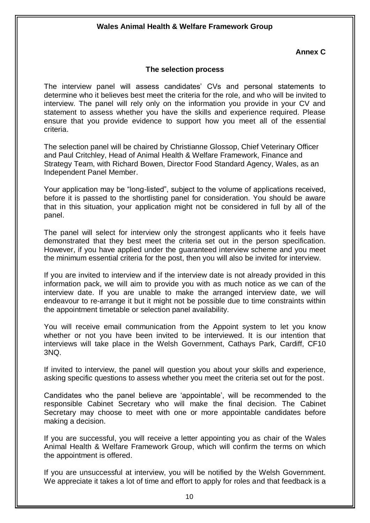#### **Annex C**

#### **The selection process**

The interview panel will assess candidates' CVs and personal statements to determine who it believes best meet the criteria for the role, and who will be invited to interview. The panel will rely only on the information you provide in your CV and statement to assess whether you have the skills and experience required. Please ensure that you provide evidence to support how you meet all of the essential criteria.

The selection panel will be chaired by Christianne Glossop, Chief Veterinary Officer and Paul Critchley, Head of Animal Health & Welfare Framework, Finance and Strategy Team, with Richard Bowen, Director Food Standard Agency, Wales, as an Independent Panel Member.

Your application may be "long-listed", subject to the volume of applications received, before it is passed to the shortlisting panel for consideration. You should be aware that in this situation, your application might not be considered in full by all of the panel.

The panel will select for interview only the strongest applicants who it feels have demonstrated that they best meet the criteria set out in the person specification. However, if you have applied under the guaranteed interview scheme and you meet the minimum essential criteria for the post, then you will also be invited for interview.

If you are invited to interview and if the interview date is not already provided in this information pack, we will aim to provide you with as much notice as we can of the interview date. If you are unable to make the arranged interview date, we will endeavour to re-arrange it but it might not be possible due to time constraints within the appointment timetable or selection panel availability.

You will receive email communication from the Appoint system to let you know whether or not you have been invited to be interviewed. It is our intention that interviews will take place in the Welsh Government, Cathays Park, Cardiff, CF10 3NQ.

If invited to interview, the panel will question you about your skills and experience, asking specific questions to assess whether you meet the criteria set out for the post.

Candidates who the panel believe are 'appointable', will be recommended to the responsible Cabinet Secretary who will make the final decision. The Cabinet Secretary may choose to meet with one or more appointable candidates before making a decision.

If you are successful, you will receive a letter appointing you as chair of the Wales Animal Health & Welfare Framework Group, which will confirm the terms on which the appointment is offered.

If you are unsuccessful at interview, you will be notified by the Welsh Government. We appreciate it takes a lot of time and effort to apply for roles and that feedback is a